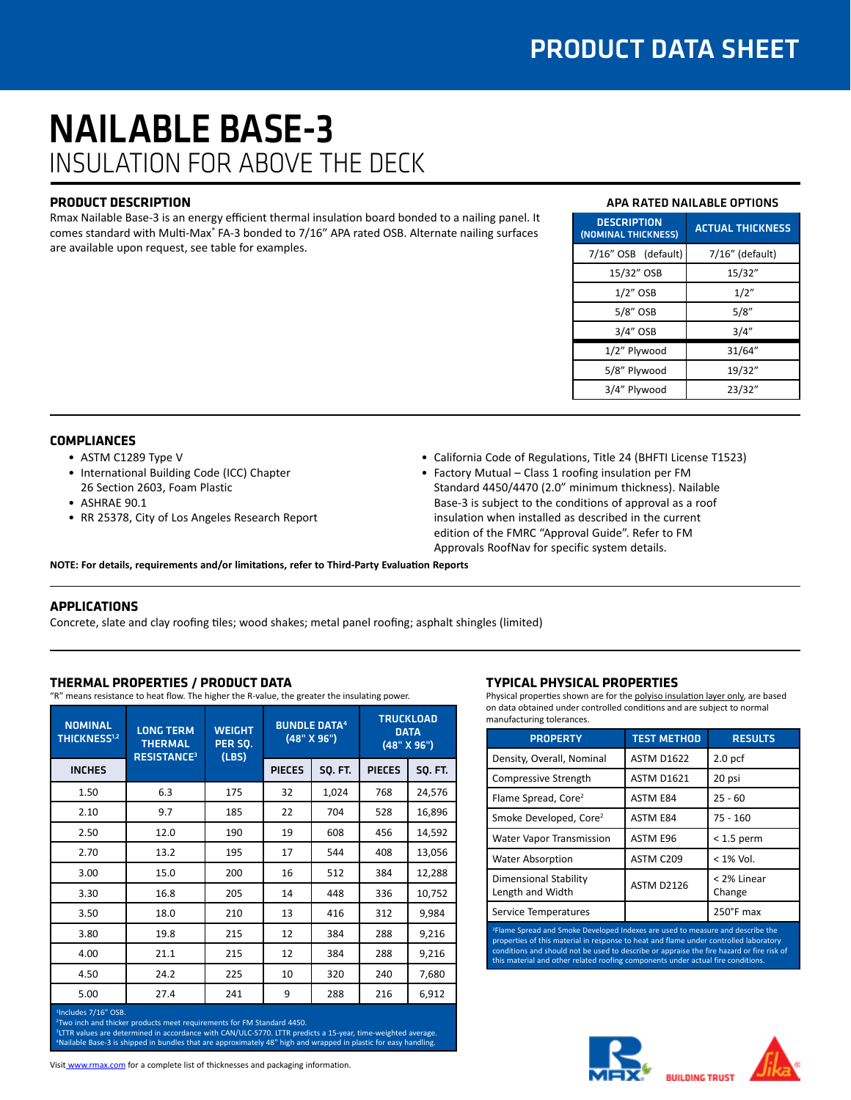# NAILABLE BASE-3 INSULATION FOR ABOVE THE DECK

## **PRODUCT DESCRIPTION**

Rmax Nailable Base-3 is an energy efficient thermal insulation board bonded to a nailing panel. It comes standard with Multi-Max® FA-3 bonded to 7/16" APA rated OSB. Alternate nailing surfaces are available upon request, see table for examples.

# APA RATED NAILABLE OPTIONS

| <b>DESCRIPTION</b><br>(NOMINAL THICKNESS) | <b>ACTUAL THICKNESS</b> |  |  |
|-------------------------------------------|-------------------------|--|--|
| 7/16" OSB (default)                       | 7/16" (default)         |  |  |
| 15/32" OSB                                | 15/32"                  |  |  |
| $1/2$ " OSB                               | 1/2"                    |  |  |
| 5/8" OSB                                  | 5/8"                    |  |  |
| $3/4"$ OSB                                | 3/4''                   |  |  |
| 1/2" Plywood                              | 31/64"                  |  |  |
| 5/8" Plywood                              | 19/32"                  |  |  |
| 3/4" Plywood                              | 23/32"                  |  |  |

#### **COMPLIANCES**

- ASTM C1289 Type V
- International Building Code (ICC) Chapter 26 Section 2603, Foam Plastic
- ASHRAE 90.1
- RR 25378, City of Los Angeles Research Report
- California Code of Regulations, Title 24 (BHFTI License T1523)
- Factory Mutual Class 1 roofing insulation per FM
- Standard 4450/4470 (2.0" minimum thickness). Nailable Base-3 is subject to the conditions of approval as a roof insulation when installed as described in the current edition of the FMRC "Approval Guide". Refer to FM Approvals RoofNav for specific system details.

**NOTE: For details, requirements and/or limitations, refer to Third-Party Evaluation Reports**

# **APPLICATIONS**

Concrete, slate and clay roofing tiles; wood shakes; metal panel roofing; asphalt shingles (limited)

# **THERMAL PROPERTIES / PRODUCT DATA**

"R" means resistance to heat flow. The higher the R-value, the greater the insulating power.

| <b>NOMINAL</b><br><b>THICKNESS1,2</b> | <b>LONG TERM</b><br><b>THERMAL</b><br><b>RESISTANCE<sup>3</sup></b> | <b>WEIGHT</b><br>PER SO.<br>(LBS) | <b>BUNDLE DATA4</b><br>(48" X 96") |                |               | <b>TRUCKLOAD</b><br><b>DATA</b><br>(48" X 96") |  |
|---------------------------------------|---------------------------------------------------------------------|-----------------------------------|------------------------------------|----------------|---------------|------------------------------------------------|--|
| <b>INCHES</b>                         |                                                                     |                                   | <b>PIECES</b>                      | <b>SO. FT.</b> | <b>PIECES</b> | <b>SQ. FT.</b>                                 |  |
| 1.50                                  | 6.3                                                                 | 175                               | 32                                 | 1,024          | 768           | 24,576                                         |  |
| 2.10                                  | 9.7                                                                 | 185                               | 22                                 | 704            | 528           | 16,896                                         |  |
| 2.50                                  | 12.0                                                                | 190                               | 19                                 | 608            | 456           | 14,592                                         |  |
| 2.70                                  | 13.2                                                                | 195                               | 17                                 | 544            | 408           | 13,056                                         |  |
| 3.00                                  | 15.0                                                                | 200                               | 16                                 | 512            | 384           | 12,288                                         |  |
| 3.30                                  | 16.8                                                                | 205                               | 14                                 | 448            | 336           | 10,752                                         |  |
| 3.50                                  | 18.0                                                                | 210                               | 13                                 | 416            | 312           | 9,984                                          |  |
| 3.80                                  | 19.8                                                                | 215                               | 12                                 | 384            | 288           | 9,216                                          |  |
| 4.00                                  | 21.1                                                                | 215                               | 12                                 | 384            | 288           | 9,216                                          |  |
| 4.50                                  | 24.2                                                                | 225                               | 10                                 | 320            | 240           | 7,680                                          |  |
| 5.00                                  | 27.4                                                                | 241                               | 9                                  | 288            | 216           | 6,912                                          |  |
| <sup>1</sup> Includes 7/16" OSB.      |                                                                     |                                   |                                    |                |               |                                                |  |

<sup>3</sup>LTTR values are determined in accordance with CAN/ULC-S770. LTTR predicts a 15-year, time-weighted average. 4 Nailable Base-3 is shipped in bundles that are approximately 48" high and wrapped in plastic for easy handling.

# **TYPICAL PHYSICAL PROPERTIES**

Physical properties shown are for the polyiso insulation layer only, are based on data obtained under controlled conditions and are subject to normal manufacturing tolerances.

| manactaning tolerances.                          |                    |                       |  |  |  |  |
|--------------------------------------------------|--------------------|-----------------------|--|--|--|--|
| <b>PROPERTY</b>                                  | <b>TEST METHOD</b> | <b>RESULTS</b>        |  |  |  |  |
| Density, Overall, Nominal                        | <b>ASTM D1622</b>  | 2.0 <sub>pcf</sub>    |  |  |  |  |
| Compressive Strength                             | <b>ASTM D1621</b>  | 20 psi                |  |  |  |  |
| Flame Spread, Core <sup>2</sup>                  | <b>ASTM E84</b>    | $25 - 60$             |  |  |  |  |
| Smoke Developed, Core <sup>2</sup>               | <b>ASTM E84</b>    | $75 - 160$            |  |  |  |  |
| <b>Water Vapor Transmission</b>                  | ASTM E96           | $<$ 1.5 perm          |  |  |  |  |
| <b>Water Absorption</b>                          | ASTM C209          | $< 1\%$ Vol.          |  |  |  |  |
| <b>Dimensional Stability</b><br>Length and Width | ASTM D2126         | < 2% Linear<br>Change |  |  |  |  |
| Service Temperatures                             |                    | 250°F max             |  |  |  |  |

Flame Spread and Smoke Developed Indexes are used to measure and describe the properties of this material in response to heat and flame under controlled laboratory conditions and should not be used to describe or appraise the fire hazard or fire risk of his material and other related roofing components under actual fire conditions



Visit www.rmax.com for a complete list of thicknesses and packaging information.

Two inch and thicker products meet requirements for FM Standard 4450.